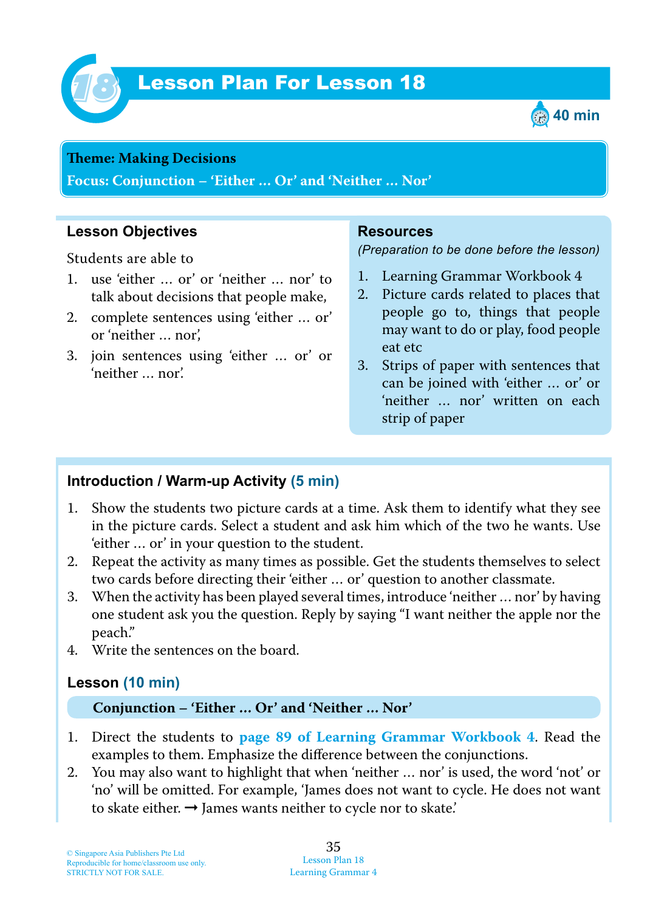

# **Lesson Plan For Lesson 18**



#### **Theme: Making Decisions**

**Focus: Conjunction – 'Either … Or' and 'Neither … Nor'**

## **Lesson Objectives**

Students are able to

- 1. use 'either … or' or 'neither … nor' to talk about decisions that people make,
- 2. complete sentences using 'either … or' or 'neither … nor',
- 3. join sentences using 'either … or' or 'neither … nor'.

#### **Resources**

*(Preparation to be done before the lesson)*

- 1. Learning Grammar Workbook 4
- 2. Picture cards related to places that people go to, things that people may want to do or play, food people eat etc
- 3. Strips of paper with sentences that can be joined with 'either … or' or 'neither … nor' written on each strip of paper

## **Introduction / Warm-up Activity (5 min)**

- 1. Show the students two picture cards at a time. Ask them to identify what they see in the picture cards. Select a student and ask him which of the two he wants. Use 'either … or' in your question to the student.
- 2. Repeat the activity as many times as possible. Get the students themselves to select two cards before directing their 'either … or' question to another classmate.
- 3. When the activity has been played several times, introduce 'neither … nor' by having one student ask you the question. Reply by saying "I want neither the apple nor the peach."
- 4. Write the sentences on the board.

## **Lesson (10 min)**

#### **Conjunction – 'Either … Or' and 'Neither … Nor'**

- 1. Direct the students to **page 89 of Learning Grammar Workbook 4**. Read the examples to them. Emphasize the difference between the conjunctions.
- 2. You may also want to highlight that when 'neither … nor' is used, the word 'not' or 'no' will be omitted. For example, 'James does not want to cycle. He does not want to skate either.  $\rightarrow$  James wants neither to cycle nor to skate.'